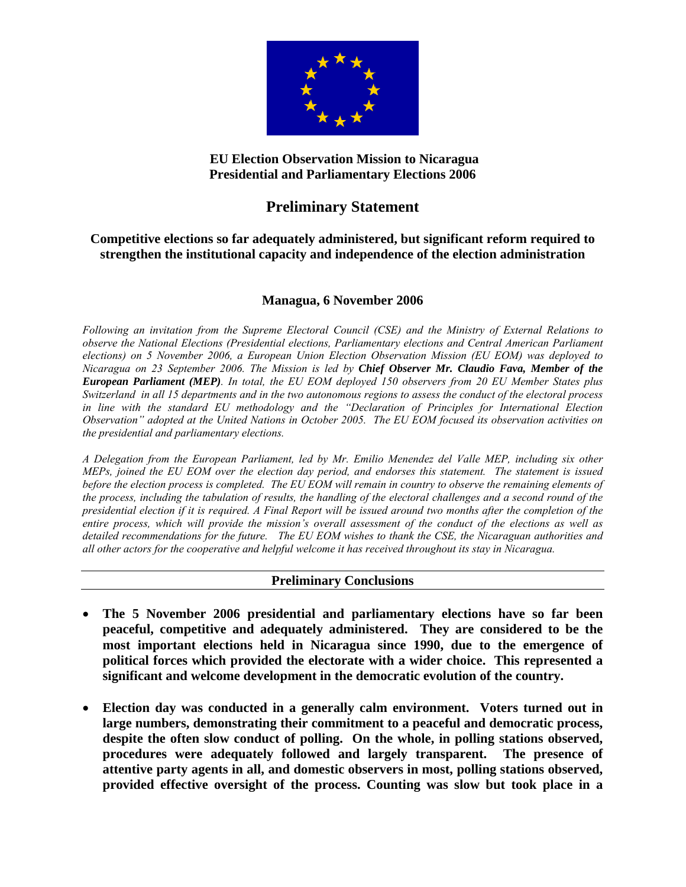

# **EU Election Observation Mission to Nicaragua Presidential and Parliamentary Elections 2006**

# **Preliminary Statement**

## **Competitive elections so far adequately administered, but significant reform required to strengthen the institutional capacity and independence of the election administration**

## **Managua, 6 November 2006**

*Following an invitation from the Supreme Electoral Council (CSE) and the Ministry of External Relations to observe the National Elections (Presidential elections, Parliamentary elections and Central American Parliament elections) on 5 November 2006, a European Union Election Observation Mission (EU EOM) was deployed to Nicaragua on 23 September 2006. The Mission is led by Chief Observer Mr. Claudio Fava, Member of the European Parliament (MEP). In total, the EU EOM deployed 150 observers from 20 EU Member States plus Switzerland in all 15 departments and in the two autonomous regions to assess the conduct of the electoral process in line with the standard EU methodology and the "Declaration of Principles for International Election Observation" adopted at the United Nations in October 2005. The EU EOM focused its observation activities on the presidential and parliamentary elections.* 

*A Delegation from the European Parliament, led by Mr. Emilio Menendez del Valle MEP, including six other MEPs, joined the EU EOM over the election day period, and endorses this statement. The statement is issued before the election process is completed. The EU EOM will remain in country to observe the remaining elements of the process, including the tabulation of results, the handling of the electoral challenges and a second round of the presidential election if it is required. A Final Report will be issued around two months after the completion of the entire process, which will provide the mission's overall assessment of the conduct of the elections as well as detailed recommendations for the future. The EU EOM wishes to thank the CSE, the Nicaraguan authorities and all other actors for the cooperative and helpful welcome it has received throughout its stay in Nicaragua.* 

### **Preliminary Conclusions**

- **The 5 November 2006 presidential and parliamentary elections have so far been peaceful, competitive and adequately administered. They are considered to be the most important elections held in Nicaragua since 1990, due to the emergence of political forces which provided the electorate with a wider choice. This represented a significant and welcome development in the democratic evolution of the country.**
- **Election day was conducted in a generally calm environment. Voters turned out in large numbers, demonstrating their commitment to a peaceful and democratic process, despite the often slow conduct of polling. On the whole, in polling stations observed, procedures were adequately followed and largely transparent. The presence of attentive party agents in all, and domestic observers in most, polling stations observed, provided effective oversight of the process. Counting was slow but took place in a**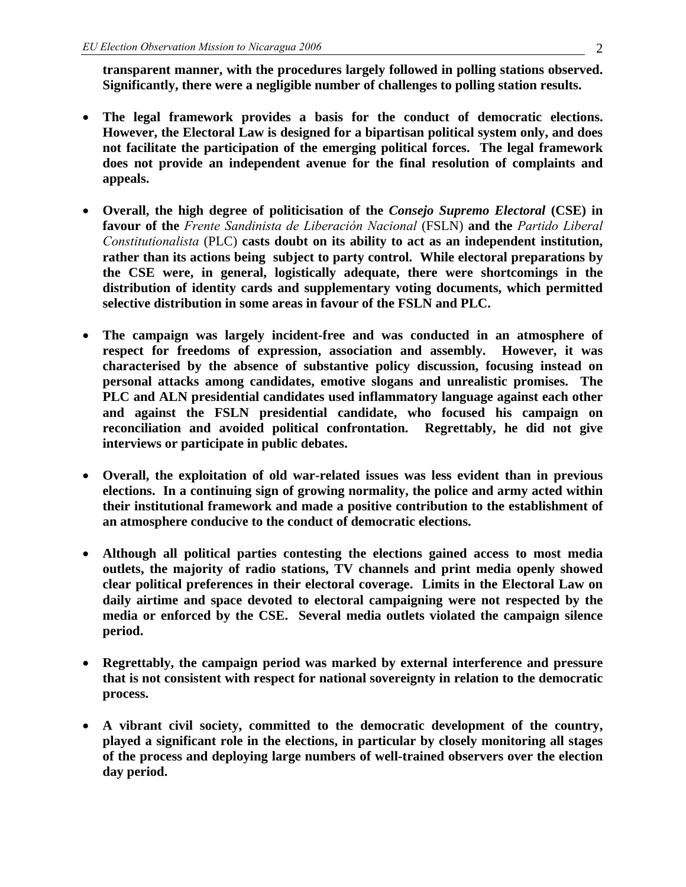**transparent manner, with the procedures largely followed in polling stations observed. Significantly, there were a negligible number of challenges to polling station results.** 

- **The legal framework provides a basis for the conduct of democratic elections. However, the Electoral Law is designed for a bipartisan political system only, and does not facilitate the participation of the emerging political forces. The legal framework does not provide an independent avenue for the final resolution of complaints and appeals.**
- **Overall, the high degree of politicisation of the** *Consejo Supremo Electoral* **(CSE) in favour of the** *Frente Sandinista de Liberación Nacional* (FSLN) **and the** *Partido Liberal Constitutionalista* (PLC) **casts doubt on its ability to act as an independent institution, rather than its actions being subject to party control. While electoral preparations by the CSE were, in general, logistically adequate, there were shortcomings in the distribution of identity cards and supplementary voting documents, which permitted selective distribution in some areas in favour of the FSLN and PLC.**
- **The campaign was largely incident-free and was conducted in an atmosphere of respect for freedoms of expression, association and assembly. However, it was characterised by the absence of substantive policy discussion, focusing instead on personal attacks among candidates, emotive slogans and unrealistic promises. The PLC and ALN presidential candidates used inflammatory language against each other and against the FSLN presidential candidate, who focused his campaign on reconciliation and avoided political confrontation. Regrettably, he did not give interviews or participate in public debates.**
- **Overall, the exploitation of old war-related issues was less evident than in previous elections. In a continuing sign of growing normality, the police and army acted within their institutional framework and made a positive contribution to the establishment of an atmosphere conducive to the conduct of democratic elections.**
- **Although all political parties contesting the elections gained access to most media outlets, the majority of radio stations, TV channels and print media openly showed clear political preferences in their electoral coverage. Limits in the Electoral Law on daily airtime and space devoted to electoral campaigning were not respected by the media or enforced by the CSE. Several media outlets violated the campaign silence period.**
- **Regrettably, the campaign period was marked by external interference and pressure that is not consistent with respect for national sovereignty in relation to the democratic process.**
- **A vibrant civil society, committed to the democratic development of the country, played a significant role in the elections, in particular by closely monitoring all stages of the process and deploying large numbers of well-trained observers over the election day period.**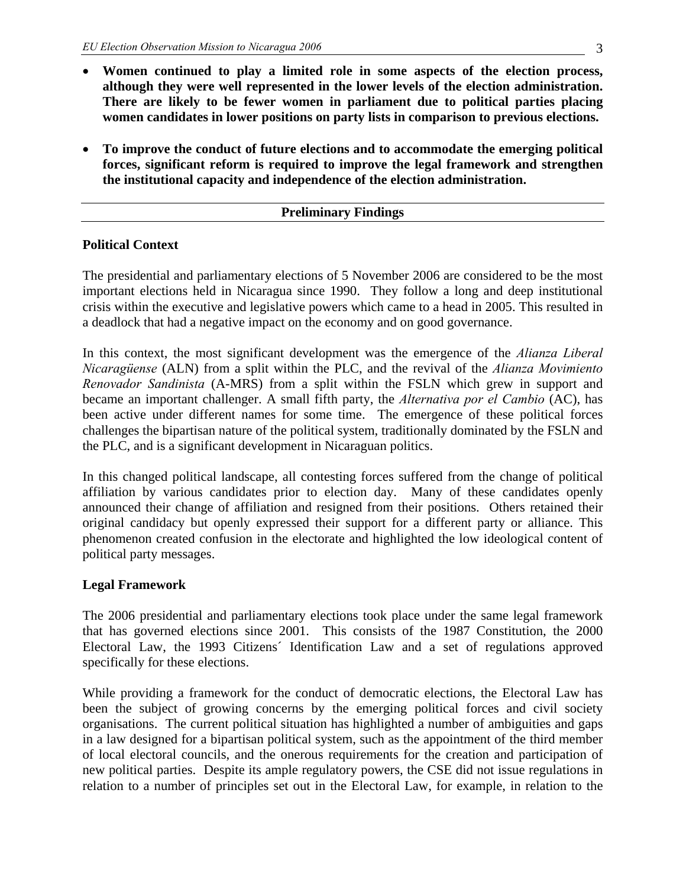- **Women continued to play a limited role in some aspects of the election process, although they were well represented in the lower levels of the election administration. There are likely to be fewer women in parliament due to political parties placing women candidates in lower positions on party lists in comparison to previous elections.**
- **To improve the conduct of future elections and to accommodate the emerging political forces, significant reform is required to improve the legal framework and strengthen the institutional capacity and independence of the election administration.**

### **Preliminary Findings**

### **Political Context**

The presidential and parliamentary elections of 5 November 2006 are considered to be the most important elections held in Nicaragua since 1990. They follow a long and deep institutional crisis within the executive and legislative powers which came to a head in 2005. This resulted in a deadlock that had a negative impact on the economy and on good governance.

In this context, the most significant development was the emergence of the *Alianza Liberal Nicaragüense* (ALN) from a split within the PLC, and the revival of the *Alianza Movimiento Renovador Sandinista* (A-MRS) from a split within the FSLN which grew in support and became an important challenger. A small fifth party, the *Alternativa por el Cambio* (AC), has been active under different names for some time. The emergence of these political forces challenges the bipartisan nature of the political system, traditionally dominated by the FSLN and the PLC, and is a significant development in Nicaraguan politics.

In this changed political landscape, all contesting forces suffered from the change of political affiliation by various candidates prior to election day. Many of these candidates openly announced their change of affiliation and resigned from their positions. Others retained their original candidacy but openly expressed their support for a different party or alliance. This phenomenon created confusion in the electorate and highlighted the low ideological content of political party messages.

### **Legal Framework**

The 2006 presidential and parliamentary elections took place under the same legal framework that has governed elections since 2001. This consists of the 1987 Constitution, the 2000 Electoral Law, the 1993 Citizens´ Identification Law and a set of regulations approved specifically for these elections.

While providing a framework for the conduct of democratic elections, the Electoral Law has been the subject of growing concerns by the emerging political forces and civil society organisations. The current political situation has highlighted a number of ambiguities and gaps in a law designed for a bipartisan political system, such as the appointment of the third member of local electoral councils, and the onerous requirements for the creation and participation of new political parties. Despite its ample regulatory powers, the CSE did not issue regulations in relation to a number of principles set out in the Electoral Law, for example, in relation to the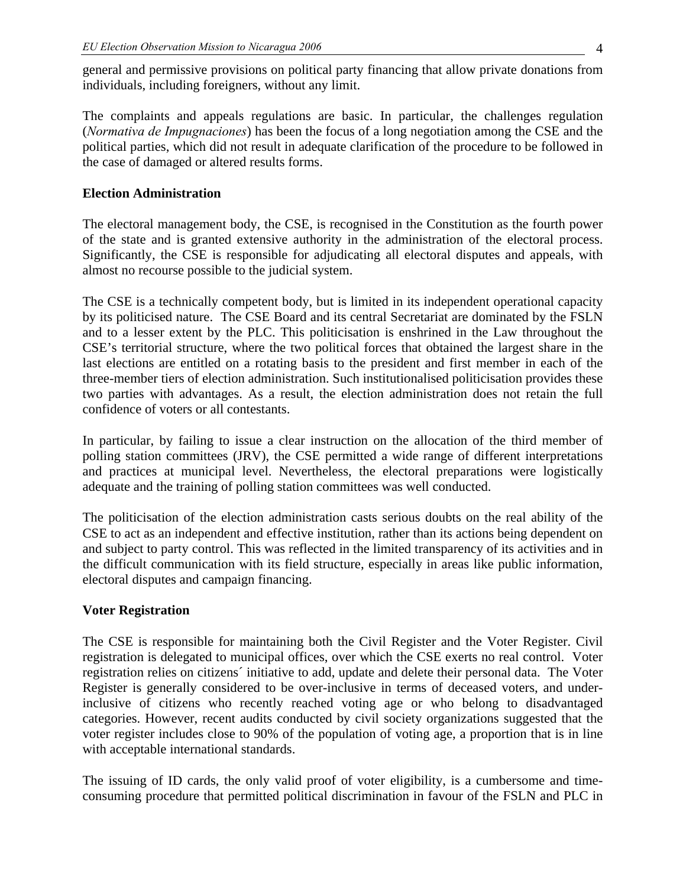general and permissive provisions on political party financing that allow private donations from individuals, including foreigners, without any limit.

The complaints and appeals regulations are basic. In particular, the challenges regulation (*Normativa de Impugnaciones*) has been the focus of a long negotiation among the CSE and the political parties, which did not result in adequate clarification of the procedure to be followed in the case of damaged or altered results forms.

#### **Election Administration**

The electoral management body, the CSE, is recognised in the Constitution as the fourth power of the state and is granted extensive authority in the administration of the electoral process. Significantly, the CSE is responsible for adjudicating all electoral disputes and appeals, with almost no recourse possible to the judicial system.

The CSE is a technically competent body, but is limited in its independent operational capacity by its politicised nature. The CSE Board and its central Secretariat are dominated by the FSLN and to a lesser extent by the PLC. This politicisation is enshrined in the Law throughout the CSE's territorial structure, where the two political forces that obtained the largest share in the last elections are entitled on a rotating basis to the president and first member in each of the three-member tiers of election administration. Such institutionalised politicisation provides these two parties with advantages. As a result, the election administration does not retain the full confidence of voters or all contestants.

In particular, by failing to issue a clear instruction on the allocation of the third member of polling station committees (JRV), the CSE permitted a wide range of different interpretations and practices at municipal level. Nevertheless, the electoral preparations were logistically adequate and the training of polling station committees was well conducted.

The politicisation of the election administration casts serious doubts on the real ability of the CSE to act as an independent and effective institution, rather than its actions being dependent on and subject to party control. This was reflected in the limited transparency of its activities and in the difficult communication with its field structure, especially in areas like public information, electoral disputes and campaign financing.

#### **Voter Registration**

The CSE is responsible for maintaining both the Civil Register and the Voter Register. Civil registration is delegated to municipal offices, over which the CSE exerts no real control. Voter registration relies on citizens´ initiative to add, update and delete their personal data. The Voter Register is generally considered to be over-inclusive in terms of deceased voters, and underinclusive of citizens who recently reached voting age or who belong to disadvantaged categories. However, recent audits conducted by civil society organizations suggested that the voter register includes close to 90% of the population of voting age, a proportion that is in line with acceptable international standards.

The issuing of ID cards, the only valid proof of voter eligibility, is a cumbersome and timeconsuming procedure that permitted political discrimination in favour of the FSLN and PLC in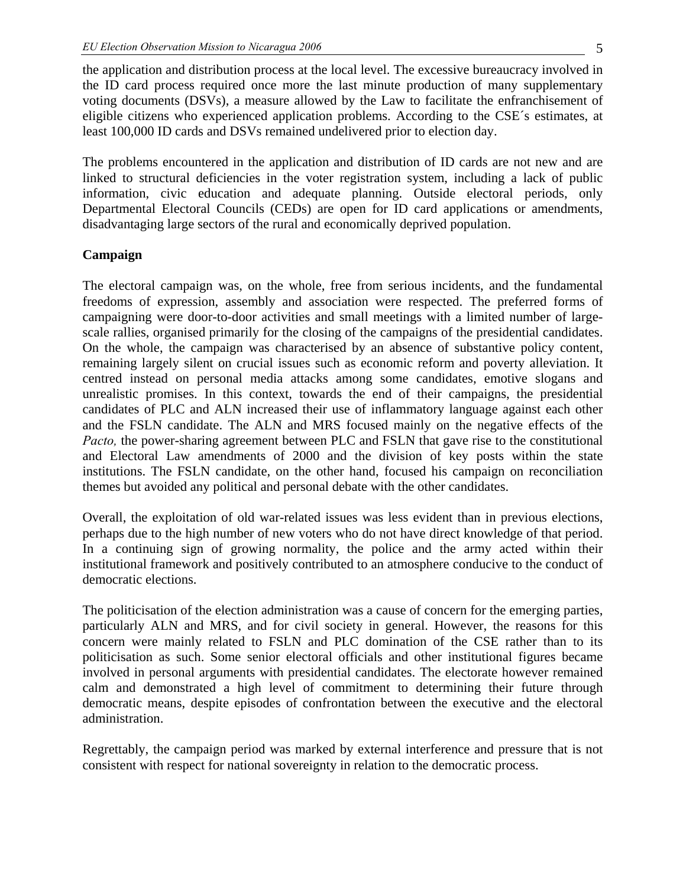the application and distribution process at the local level. The excessive bureaucracy involved in the ID card process required once more the last minute production of many supplementary voting documents (DSVs), a measure allowed by the Law to facilitate the enfranchisement of eligible citizens who experienced application problems. According to the CSE´s estimates, at least 100,000 ID cards and DSVs remained undelivered prior to election day.

The problems encountered in the application and distribution of ID cards are not new and are linked to structural deficiencies in the voter registration system, including a lack of public information, civic education and adequate planning. Outside electoral periods, only Departmental Electoral Councils (CEDs) are open for ID card applications or amendments, disadvantaging large sectors of the rural and economically deprived population.

### **Campaign**

The electoral campaign was, on the whole, free from serious incidents, and the fundamental freedoms of expression, assembly and association were respected. The preferred forms of campaigning were door-to-door activities and small meetings with a limited number of largescale rallies, organised primarily for the closing of the campaigns of the presidential candidates. On the whole, the campaign was characterised by an absence of substantive policy content, remaining largely silent on crucial issues such as economic reform and poverty alleviation. It centred instead on personal media attacks among some candidates, emotive slogans and unrealistic promises. In this context, towards the end of their campaigns, the presidential candidates of PLC and ALN increased their use of inflammatory language against each other and the FSLN candidate. The ALN and MRS focused mainly on the negative effects of the *Pacto*, the power-sharing agreement between PLC and FSLN that gave rise to the constitutional and Electoral Law amendments of 2000 and the division of key posts within the state institutions. The FSLN candidate, on the other hand, focused his campaign on reconciliation themes but avoided any political and personal debate with the other candidates.

Overall, the exploitation of old war-related issues was less evident than in previous elections, perhaps due to the high number of new voters who do not have direct knowledge of that period. In a continuing sign of growing normality, the police and the army acted within their institutional framework and positively contributed to an atmosphere conducive to the conduct of democratic elections.

The politicisation of the election administration was a cause of concern for the emerging parties, particularly ALN and MRS, and for civil society in general. However, the reasons for this concern were mainly related to FSLN and PLC domination of the CSE rather than to its politicisation as such. Some senior electoral officials and other institutional figures became involved in personal arguments with presidential candidates. The electorate however remained calm and demonstrated a high level of commitment to determining their future through democratic means, despite episodes of confrontation between the executive and the electoral administration.

Regrettably, the campaign period was marked by external interference and pressure that is not consistent with respect for national sovereignty in relation to the democratic process.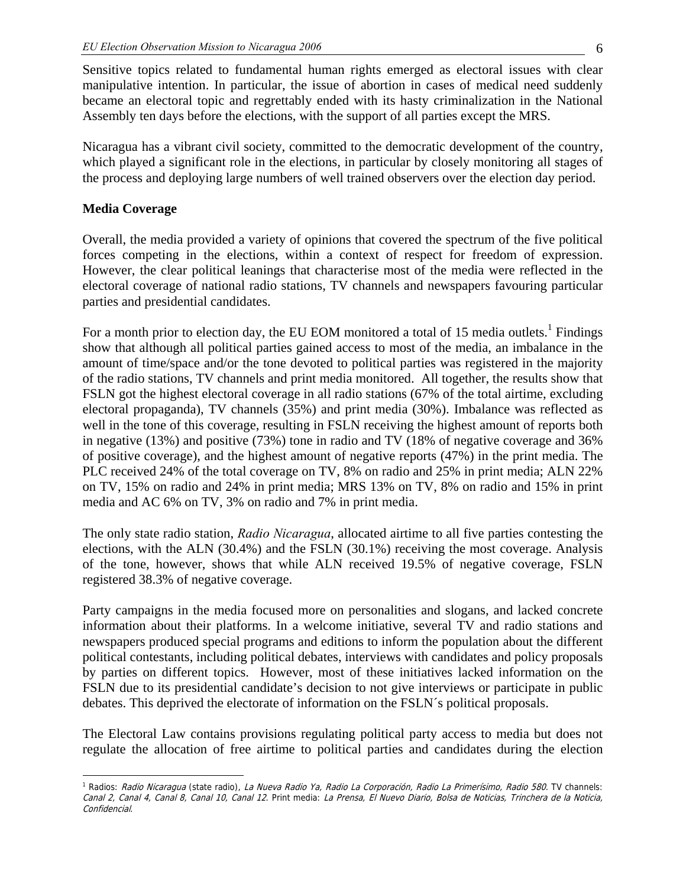Sensitive topics related to fundamental human rights emerged as electoral issues with clear manipulative intention. In particular, the issue of abortion in cases of medical need suddenly became an electoral topic and regrettably ended with its hasty criminalization in the National Assembly ten days before the elections, with the support of all parties except the MRS.

Nicaragua has a vibrant civil society, committed to the democratic development of the country, which played a significant role in the elections, in particular by closely monitoring all stages of the process and deploying large numbers of well trained observers over the election day period.

#### **Media Coverage**

 $\overline{a}$ 

Overall, the media provided a variety of opinions that covered the spectrum of the five political forces competing in the elections, within a context of respect for freedom of expression. However, the clear political leanings that characterise most of the media were reflected in the electoral coverage of national radio stations, TV channels and newspapers favouring particular parties and presidential candidates.

For a month prior to election day, the EU EOM monitored a total of 15 media outlets.<sup>1</sup> Findings show that although all political parties gained access to most of the media, an imbalance in the amount of time/space and/or the tone devoted to political parties was registered in the majority of the radio stations, TV channels and print media monitored. All together, the results show that FSLN got the highest electoral coverage in all radio stations (67% of the total airtime, excluding electoral propaganda), TV channels (35%) and print media (30%). Imbalance was reflected as well in the tone of this coverage, resulting in FSLN receiving the highest amount of reports both in negative (13%) and positive (73%) tone in radio and TV (18% of negative coverage and 36% of positive coverage), and the highest amount of negative reports (47%) in the print media. The PLC received 24% of the total coverage on TV, 8% on radio and 25% in print media; ALN 22% on TV, 15% on radio and 24% in print media; MRS 13% on TV, 8% on radio and 15% in print media and AC 6% on TV, 3% on radio and 7% in print media.

The only state radio station, *Radio Nicaragua*, allocated airtime to all five parties contesting the elections, with the ALN (30.4%) and the FSLN (30.1%) receiving the most coverage. Analysis of the tone, however, shows that while ALN received 19.5% of negative coverage, FSLN registered 38.3% of negative coverage.

Party campaigns in the media focused more on personalities and slogans, and lacked concrete information about their platforms. In a welcome initiative, several TV and radio stations and newspapers produced special programs and editions to inform the population about the different political contestants, including political debates, interviews with candidates and policy proposals by parties on different topics. However, most of these initiatives lacked information on the FSLN due to its presidential candidate's decision to not give interviews or participate in public debates. This deprived the electorate of information on the FSLN´s political proposals.

The Electoral Law contains provisions regulating political party access to media but does not regulate the allocation of free airtime to political parties and candidates during the election

<sup>&</sup>lt;sup>1</sup> Radios: *Radio Nicaragua* (state radio), *La Nueva Radio Ya, Radio La Corporación, Radio La Primerísimo, Radio 580*. TV channels: Canal 2, Canal 4, Canal 8, Canal 10, Canal 12. Print media: La Prensa, El Nuevo Diario, Bolsa de Noticias, Trinchera de la Noticia, Confidencial.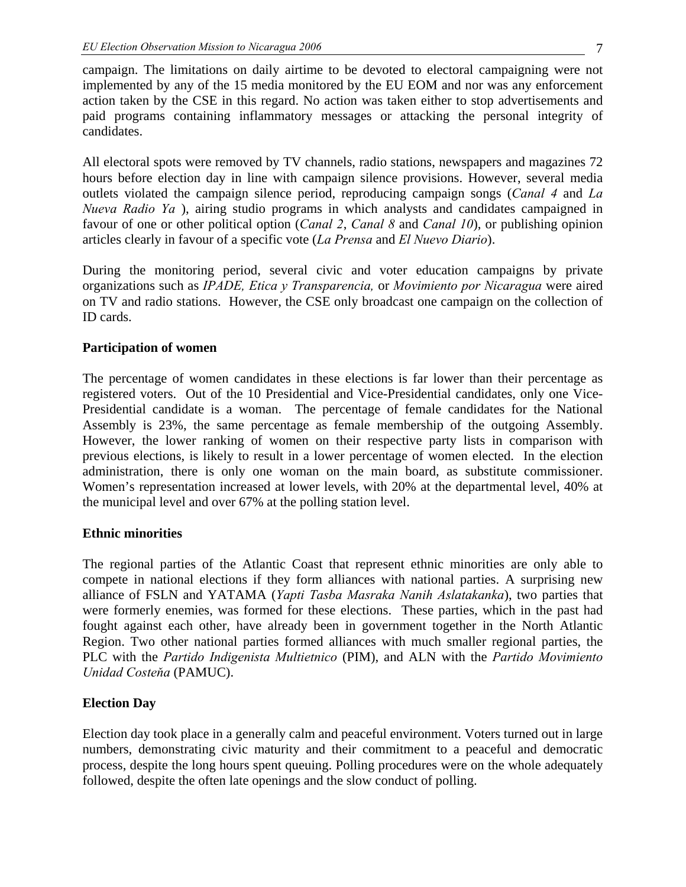campaign. The limitations on daily airtime to be devoted to electoral campaigning were not implemented by any of the 15 media monitored by the EU EOM and nor was any enforcement action taken by the CSE in this regard. No action was taken either to stop advertisements and paid programs containing inflammatory messages or attacking the personal integrity of candidates.

All electoral spots were removed by TV channels, radio stations, newspapers and magazines 72 hours before election day in line with campaign silence provisions. However, several media outlets violated the campaign silence period, reproducing campaign songs (*Canal 4* and *La Nueva Radio Ya* ), airing studio programs in which analysts and candidates campaigned in favour of one or other political option (*Canal 2*, *Canal 8* and *Canal 10*), or publishing opinion articles clearly in favour of a specific vote (*La Prensa* and *El Nuevo Diario*).

During the monitoring period, several civic and voter education campaigns by private organizations such as *IPADE, Etica y Transparencia,* or *Movimiento por Nicaragua* were aired on TV and radio stations. However, the CSE only broadcast one campaign on the collection of ID cards.

### **Participation of women**

The percentage of women candidates in these elections is far lower than their percentage as registered voters. Out of the 10 Presidential and Vice-Presidential candidates, only one Vice-Presidential candidate is a woman. The percentage of female candidates for the National Assembly is 23%, the same percentage as female membership of the outgoing Assembly. However, the lower ranking of women on their respective party lists in comparison with previous elections, is likely to result in a lower percentage of women elected. In the election administration, there is only one woman on the main board, as substitute commissioner. Women's representation increased at lower levels, with 20% at the departmental level, 40% at the municipal level and over 67% at the polling station level.

#### **Ethnic minorities**

The regional parties of the Atlantic Coast that represent ethnic minorities are only able to compete in national elections if they form alliances with national parties. A surprising new alliance of FSLN and YATAMA (*Yapti Tasba Masraka Nanih Aslatakanka*), two parties that were formerly enemies, was formed for these elections. These parties, which in the past had fought against each other, have already been in government together in the North Atlantic Region. Two other national parties formed alliances with much smaller regional parties, the PLC with the *Partido Indigenista Multietnico* (PIM), and ALN with the *Partido Movimiento Unidad Costeňa* (PAMUC).

### **Election Day**

Election day took place in a generally calm and peaceful environment. Voters turned out in large numbers, demonstrating civic maturity and their commitment to a peaceful and democratic process, despite the long hours spent queuing. Polling procedures were on the whole adequately followed, despite the often late openings and the slow conduct of polling.